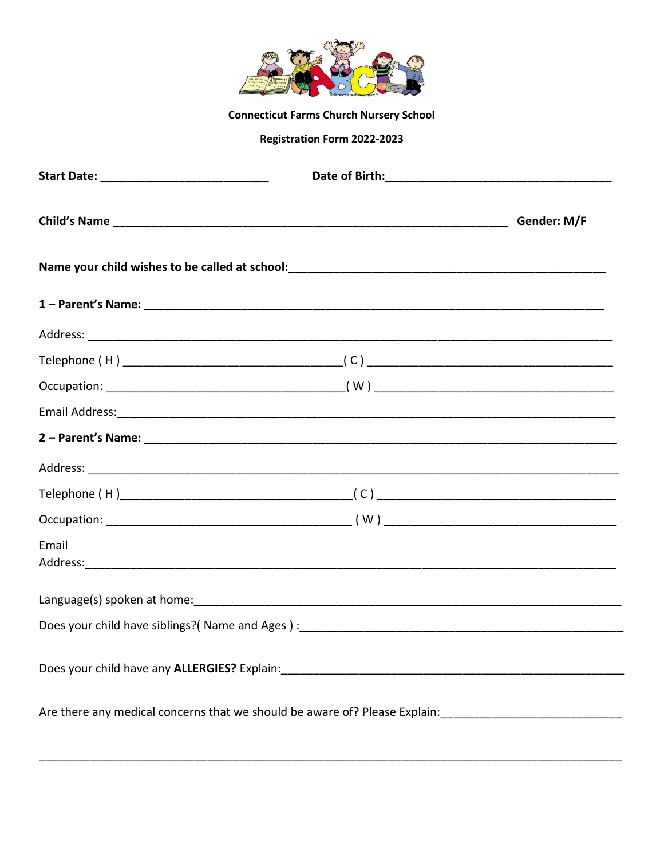

**Connecticut Farms Church Nursery School** 

# **Registration Form 2022-2023**

|                                                                                                                                                                                                                                | Gender: M/F |
|--------------------------------------------------------------------------------------------------------------------------------------------------------------------------------------------------------------------------------|-------------|
|                                                                                                                                                                                                                                |             |
|                                                                                                                                                                                                                                |             |
|                                                                                                                                                                                                                                |             |
|                                                                                                                                                                                                                                |             |
|                                                                                                                                                                                                                                |             |
|                                                                                                                                                                                                                                |             |
|                                                                                                                                                                                                                                |             |
|                                                                                                                                                                                                                                |             |
|                                                                                                                                                                                                                                |             |
|                                                                                                                                                                                                                                |             |
| Email                                                                                                                                                                                                                          |             |
|                                                                                                                                                                                                                                |             |
| Does your child have siblings?(Name and Ages): [14] Does Love and Ages and Ages (14] Does your child have siblings?(Name and Ages): [14] Does Love and Love and Ages (14] Does Love and Ages (14] One and Ages (14] One and Ag |             |
|                                                                                                                                                                                                                                |             |
| Are there any medical concerns that we should be aware of? Please Explain:                                                                                                                                                     |             |